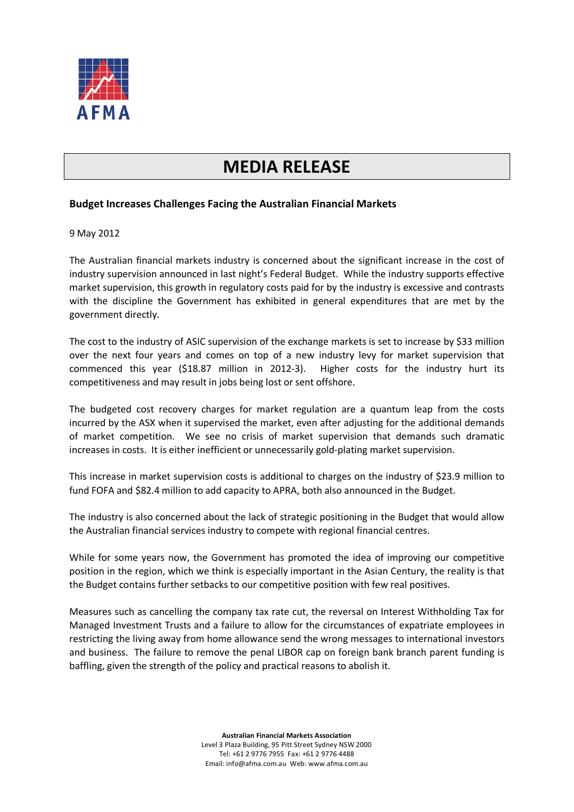

## **MEDIA RELEASE**

## **Budget Increases Challenges Facing the Australian Financial Markets**

## 9 May 2012

The Australian financial markets industry is concerned about the significant increase in the cost of industry supervision announced in last night's Federal Budget. While the industry supports effective market supervision, this growth in regulatory costs paid for by the industry is excessive and contrasts with the discipline the Government has exhibited in general expenditures that are met by the government directly.

The cost to the industry of ASIC supervision of the exchange markets is set to increase by \$33 million over the next four years and comes on top of a new industry levy for market supervision that commenced this year (\$18.87 million in 2012-3). Higher costs for the industry hurt its competitiveness and may result in jobs being lost or sent offshore.

The budgeted cost recovery charges for market regulation are a quantum leap from the costs incurred by the ASX when it supervised the market, even after adjusting for the additional demands of market competition. We see no crisis of market supervision that demands such dramatic increases in costs. It is either inefficient or unnecessarily gold-plating market supervision.

This increase in market supervision costs is additional to charges on the industry of \$23.9 million to fund FOFA and \$82.4 million to add capacity to APRA, both also announced in the Budget.

The industry is also concerned about the lack of strategic positioning in the Budget that would allow the Australian financial services industry to compete with regional financial centres.

While for some years now, the Government has promoted the idea of improving our competitive position in the region, which we think is especially important in the Asian Century, the reality is that the Budget contains further setbacks to our competitive position with few real positives.

Measures such as cancelling the company tax rate cut, the reversal on Interest Withholding Tax for Managed Investment Trusts and a failure to allow for the circumstances of expatriate employees in restricting the living away from home allowance send the wrong messages to international investors and business. The failure to remove the penal LIBOR cap on foreign bank branch parent funding is baffling, given the strength of the policy and practical reasons to abolish it.

> **Australian Financial Markets Association** Level 3 Plaza Building, 95 Pitt Street Sydney NSW 2000 Tel: +61 2 9776 7955 Fax: +61 2 9776 4488 Email: info@afma.com.au Web: www.afma.com.au